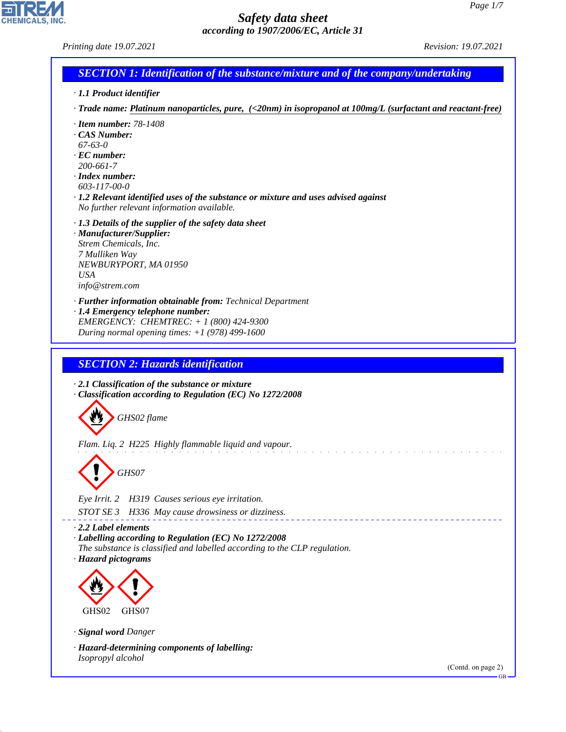| Printing date 19.07.2021                                                                                                                                                                                                                                                                                             | Revision: 19.07.2021 |
|----------------------------------------------------------------------------------------------------------------------------------------------------------------------------------------------------------------------------------------------------------------------------------------------------------------------|----------------------|
| <b>SECTION 1: Identification of the substance/mixture and of the company/undertaking</b>                                                                                                                                                                                                                             |                      |
| · 1.1 Product identifier                                                                                                                                                                                                                                                                                             |                      |
| $\cdot$ Trade name: Platinum nanoparticles, pure, $\langle$ <20nm) in isopropanol at 100mg/L (surfactant and reactant-free)                                                                                                                                                                                          |                      |
| $\cdot$ Item number: 78-1408<br>$\cdot$ CAS Number:<br>$67-63-0$<br>$\cdot$ EC number:<br>200-661-7<br>$\cdot$ Index number:<br>603-117-00-0<br>$\cdot$ 1.2 Relevant identified uses of the substance or mixture and uses advised against<br>No further relevant information available.                              |                      |
| $\cdot$ 1.3 Details of the supplier of the safety data sheet<br>· Manufacturer/Supplier:<br>Strem Chemicals, Inc.<br>7 Mulliken Way<br>NEWBURYPORT, MA 01950<br><b>USA</b><br>info@strem.com                                                                                                                         |                      |
| · Further information obtainable from: Technical Department<br>· 1.4 Emergency telephone number:<br>EMERGENCY: CHEMTREC: $+ 1 (800) 424 - 9300$<br>During normal opening times: $+1$ (978) 499-1600                                                                                                                  |                      |
| <b>SECTION 2: Hazards identification</b>                                                                                                                                                                                                                                                                             |                      |
| $\cdot$ 2.1 Classification of the substance or mixture<br>· Classification according to Regulation (EC) No 1272/2008<br>GHS02 flame<br>Flam. Liq. 2 H225 Highly flammable liquid and vapour.<br>GHS07<br>Eye Irrit. 2<br>H319 Causes serious eye irritation.<br>STOT SE 3<br>H336 May cause drowsiness or dizziness. |                      |
| $\cdot$ 2.2 Label elements                                                                                                                                                                                                                                                                                           |                      |
| · Labelling according to Regulation (EC) No 1272/2008<br>The substance is classified and labelled according to the CLP regulation.<br>· Hazard pictograms                                                                                                                                                            |                      |
|                                                                                                                                                                                                                                                                                                                      |                      |
| GHS <sub>02</sub><br>GHS07                                                                                                                                                                                                                                                                                           |                      |
| · Signal word Danger                                                                                                                                                                                                                                                                                                 |                      |
| · Hazard-determining components of labelling:<br>Isopropyl alcohol                                                                                                                                                                                                                                                   |                      |
|                                                                                                                                                                                                                                                                                                                      | (Contd. on page 2)   |

44.1.1

CHEMICALS, INC.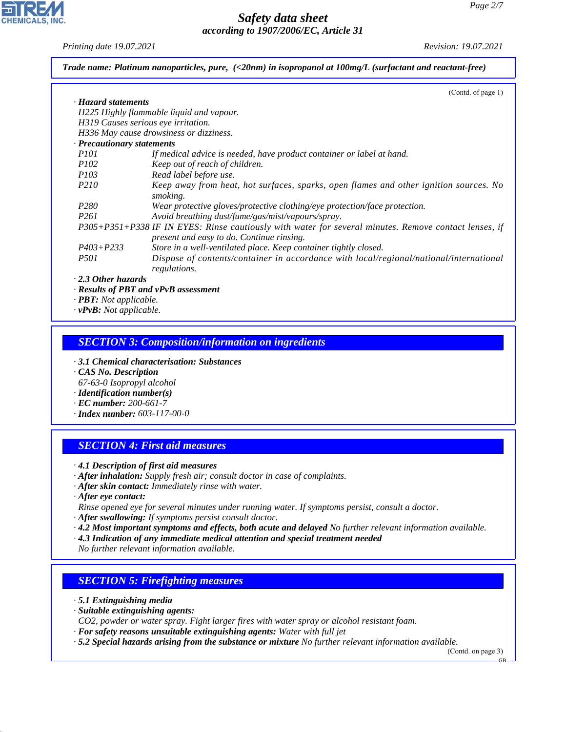*Printing date 19.07.2021 Revision: 19.07.2021*

**CHEMICALS, INC** 

|                                  | (Contd. of page 1)                                                                                                                                 |
|----------------------------------|----------------------------------------------------------------------------------------------------------------------------------------------------|
| · Hazard statements              |                                                                                                                                                    |
|                                  | H225 Highly flammable liquid and vapour.                                                                                                           |
|                                  | H319 Causes serious eye irritation.                                                                                                                |
|                                  | H336 May cause drowsiness or dizziness.                                                                                                            |
| $\cdot$ Precautionary statements |                                                                                                                                                    |
| <i>P101</i>                      | If medical advice is needed, have product container or label at hand.                                                                              |
| <i>P102</i>                      | Keep out of reach of children.                                                                                                                     |
| <i>P103</i>                      | Read label before use.                                                                                                                             |
| P <sub>210</sub>                 | Keep away from heat, hot surfaces, sparks, open flames and other ignition sources. No<br>smoking.                                                  |
| P280                             | Wear protective gloves/protective clothing/eye protection/face protection.                                                                         |
| P <sub>261</sub>                 | Avoid breathing dust/fume/gas/mist/vapours/spray.                                                                                                  |
|                                  | P305+P351+P338 IF IN EYES: Rinse cautiously with water for several minutes. Remove contact lenses, if<br>present and easy to do. Continue rinsing. |
| $P403 + P233$                    | Store in a well-ventilated place. Keep container tightly closed.                                                                                   |
| <i>P501</i>                      | Dispose of contents/container in accordance with local/regional/national/international                                                             |
|                                  | regulations.                                                                                                                                       |
| $\cdot$ 2.3 Other hazards        |                                                                                                                                                    |

*· vPvB: Not applicable.*

### *SECTION 3: Composition/information on ingredients*

- *· 3.1 Chemical characterisation: Substances*
- *· CAS No. Description*
- *67-63-0 Isopropyl alcohol*
- *· Identification number(s)*
- *· EC number: 200-661-7*
- *· Index number: 603-117-00-0*

## *SECTION 4: First aid measures*

- *· 4.1 Description of first aid measures*
- *· After inhalation: Supply fresh air; consult doctor in case of complaints.*
- *· After skin contact: Immediately rinse with water.*
- *· After eye contact:*
- *Rinse opened eye for several minutes under running water. If symptoms persist, consult a doctor.*
- *· After swallowing: If symptoms persist consult doctor.*
- *· 4.2 Most important symptoms and effects, both acute and delayed No further relevant information available.*
- *· 4.3 Indication of any immediate medical attention and special treatment needed*

*No further relevant information available.*

## *SECTION 5: Firefighting measures*

*· 5.1 Extinguishing media*

44.1.1

- *· Suitable extinguishing agents:*
- *CO2, powder or water spray. Fight larger fires with water spray or alcohol resistant foam.*
- *· For safety reasons unsuitable extinguishing agents: Water with full jet*
- *· 5.2 Special hazards arising from the substance or mixture No further relevant information available.*

(Contd. on page 3)

GB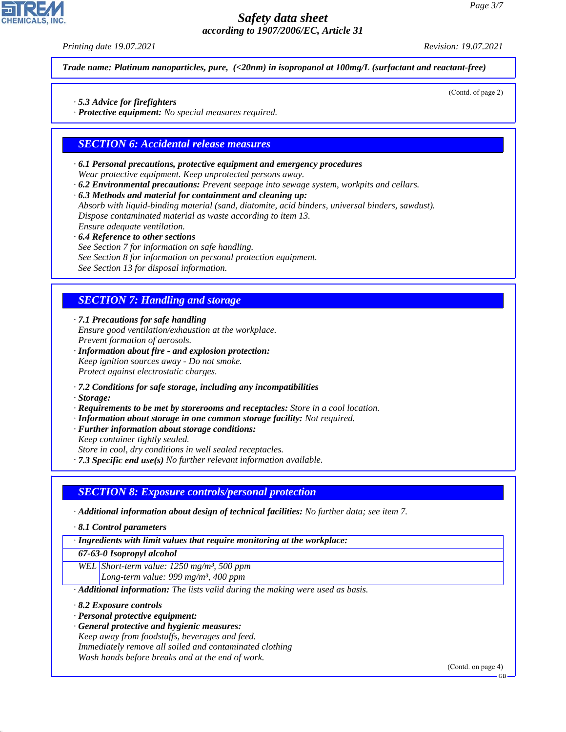*Printing date 19.07.2021 Revision: 19.07.2021*

(Contd. of page 2)

*Trade name: Platinum nanoparticles, pure, (<20nm) in isopropanol at 100mg/L (surfactant and reactant-free)*

- *· 5.3 Advice for firefighters*
- *· Protective equipment: No special measures required.*

### *SECTION 6: Accidental release measures*

- *· 6.1 Personal precautions, protective equipment and emergency procedures Wear protective equipment. Keep unprotected persons away.*
- *· 6.2 Environmental precautions: Prevent seepage into sewage system, workpits and cellars.*
- *· 6.3 Methods and material for containment and cleaning up:*

*Absorb with liquid-binding material (sand, diatomite, acid binders, universal binders, sawdust). Dispose contaminated material as waste according to item 13. Ensure adequate ventilation.*

- *· 6.4 Reference to other sections*
- *See Section 7 for information on safe handling.*
- *See Section 8 for information on personal protection equipment.*

*See Section 13 for disposal information.*

# *SECTION 7: Handling and storage*

*· 7.1 Precautions for safe handling Ensure good ventilation/exhaustion at the workplace. Prevent formation of aerosols.*

- *· Information about fire and explosion protection: Keep ignition sources away - Do not smoke. Protect against electrostatic charges.*
- *· 7.2 Conditions for safe storage, including any incompatibilities*
- *· Storage:*
- *· Requirements to be met by storerooms and receptacles: Store in a cool location.*
- *· Information about storage in one common storage facility: Not required.*
- *· Further information about storage conditions:*
- *Keep container tightly sealed.*

*Store in cool, dry conditions in well sealed receptacles.*

*· 7.3 Specific end use(s) No further relevant information available.*

#### *SECTION 8: Exposure controls/personal protection*

- *· Additional information about design of technical facilities: No further data; see item 7.*
- *· 8.1 Control parameters*

*· Ingredients with limit values that require monitoring at the workplace:*

*67-63-0 Isopropyl alcohol*

*WEL Short-term value: 1250 mg/m³, 500 ppm Long-term value: 999 mg/m³, 400 ppm*

*· Additional information: The lists valid during the making were used as basis.*

*· 8.2 Exposure controls*

44.1.1

- *· Personal protective equipment:*
- *· General protective and hygienic measures: Keep away from foodstuffs, beverages and feed. Immediately remove all soiled and contaminated clothing Wash hands before breaks and at the end of work.*

(Contd. on page 4)

GB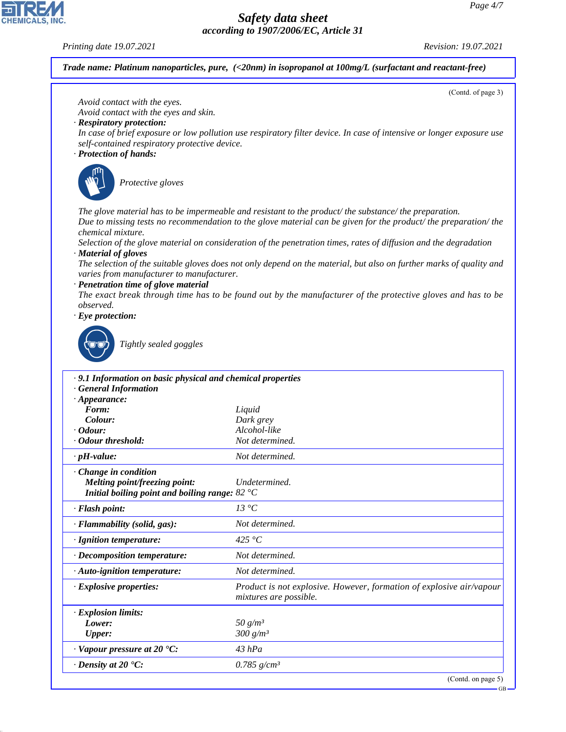GB

# *Safety data sheet according to 1907/2006/EC, Article 31*



44.1.1

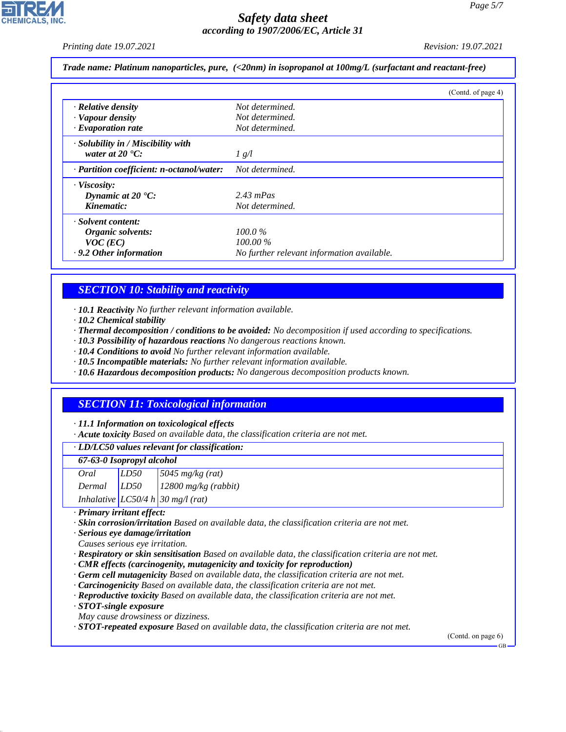*Printing date 19.07.2021 Revision: 19.07.2021*

#### *Trade name: Platinum nanoparticles, pure, (<20nm) in isopropanol at 100mg/L (surfactant and reactant-free)*

|                                           | (Contd. of page 4)                         |
|-------------------------------------------|--------------------------------------------|
| · Relative density                        | Not determined.                            |
| · Vapour density                          | Not determined.                            |
| $\cdot$ Evaporation rate                  | Not determined.                            |
| $\cdot$ Solubility in / Miscibility with  |                                            |
| water at $20^{\circ}$ C:                  | 1 g/l                                      |
| · Partition coefficient: n-octanol/water: | Not determined.                            |
| · Viscosity:                              |                                            |
| Dynamic at $20 \text{ }^{\circ}C$ :       | $2.43$ mPas                                |
| Kinematic:                                | Not determined.                            |
| · Solvent content:                        |                                            |
| Organic solvents:                         | $100.0\%$                                  |
| $VOC$ (EC)                                | $100.00\%$                                 |
| $\cdot$ 9.2 Other information             | No further relevant information available. |

### *SECTION 10: Stability and reactivity*

*· 10.1 Reactivity No further relevant information available.*

- *· 10.2 Chemical stability*
- *· Thermal decomposition / conditions to be avoided: No decomposition if used according to specifications.*
- *· 10.3 Possibility of hazardous reactions No dangerous reactions known.*
- *· 10.4 Conditions to avoid No further relevant information available.*
- *· 10.5 Incompatible materials: No further relevant information available.*
- *· 10.6 Hazardous decomposition products: No dangerous decomposition products known.*

## *SECTION 11: Toxicological information*

#### *· 11.1 Information on toxicological effects*

*· Acute toxicity Based on available data, the classification criteria are not met.*

| · LD/LC50 values relevant for classification: |  |  |
|-----------------------------------------------|--|--|
|-----------------------------------------------|--|--|

#### *67-63-0 Isopropyl alcohol*

| Oral   | LD50                                | $\sqrt{5045 \frac{mg}{kg(rat)}}$    |
|--------|-------------------------------------|-------------------------------------|
| Dermal | $\frac{1}{2}$ $\left  LDS0 \right $ | $12800$ mg/kg (rabbit)              |
|        |                                     | Inhalative $LC50/4 h 30 mg/l$ (rat) |

*· Primary irritant effect:*

*· Skin corrosion/irritation Based on available data, the classification criteria are not met.*

*· Serious eye damage/irritation*

- *Causes serious eye irritation.*
- *· Respiratory or skin sensitisation Based on available data, the classification criteria are not met.*
- *· CMR effects (carcinogenity, mutagenicity and toxicity for reproduction)*
- *· Germ cell mutagenicity Based on available data, the classification criteria are not met.*
- *· Carcinogenicity Based on available data, the classification criteria are not met.*
- *· Reproductive toxicity Based on available data, the classification criteria are not met.*
- *· STOT-single exposure*

44.1.1

*May cause drowsiness or dizziness.*

*· STOT-repeated exposure Based on available data, the classification criteria are not met.*

(Contd. on page 6)

GB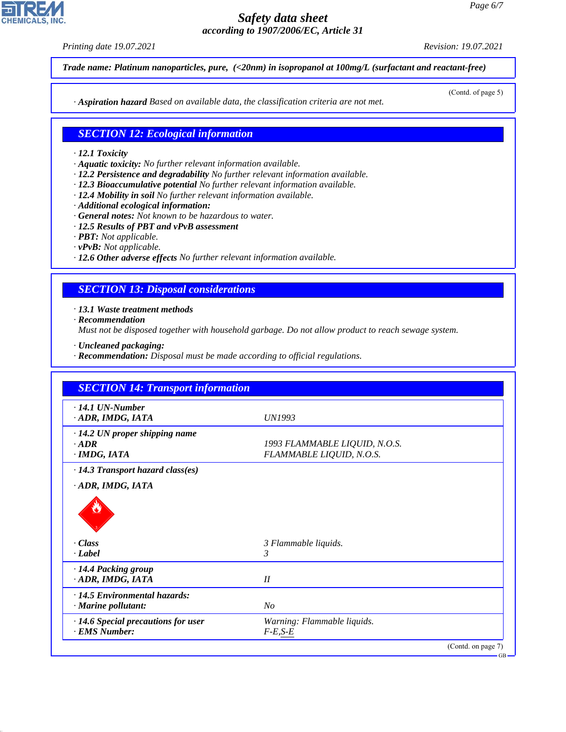*Printing date 19.07.2021 Revision: 19.07.2021*

(Contd. of page 5)

*Trade name: Platinum nanoparticles, pure, (<20nm) in isopropanol at 100mg/L (surfactant and reactant-free)*

*· Aspiration hazard Based on available data, the classification criteria are not met.*

### *SECTION 12: Ecological information*

#### *· 12.1 Toxicity*

- *· Aquatic toxicity: No further relevant information available.*
- *· 12.2 Persistence and degradability No further relevant information available.*
- *· 12.3 Bioaccumulative potential No further relevant information available.*
- *· 12.4 Mobility in soil No further relevant information available.*
- *· Additional ecological information:*
- *· General notes: Not known to be hazardous to water.*
- *· 12.5 Results of PBT and vPvB assessment*
- *· PBT: Not applicable.*
- *· vPvB: Not applicable.*
- *· 12.6 Other adverse effects No further relevant information available.*

#### *SECTION 13: Disposal considerations*

*· 13.1 Waste treatment methods*

*· Recommendation*

*Must not be disposed together with household garbage. Do not allow product to reach sewage system.*

- *· Uncleaned packaging:*
- *· Recommendation: Disposal must be made according to official regulations.*

| $\cdot$ 14.1 UN-Number                  |                               |  |
|-----------------------------------------|-------------------------------|--|
| ADR, IMDG, IATA                         | UN1993                        |  |
| $\cdot$ 14.2 UN proper shipping name    |                               |  |
| $-ADR$                                  | 1993 FLAMMABLE LIQUID, N.O.S. |  |
| · IMDG, IATA                            | FLAMMABLE LIQUID, N.O.S.      |  |
| $\cdot$ 14.3 Transport hazard class(es) |                               |  |
| ADR, IMDG, IATA                         |                               |  |
|                                         |                               |  |
| · Class                                 | 3 Flammable liquids.          |  |
| · Label                                 | 3                             |  |
| · 14.4 Packing group                    |                               |  |
| · ADR, IMDG, IATA                       | II                            |  |
| · 14.5 Environmental hazards:           |                               |  |
| · Marine pollutant:                     | $N_{O}$                       |  |
|                                         |                               |  |
| · 14.6 Special precautions for user     | Warning: Flammable liquids.   |  |



44.1.1